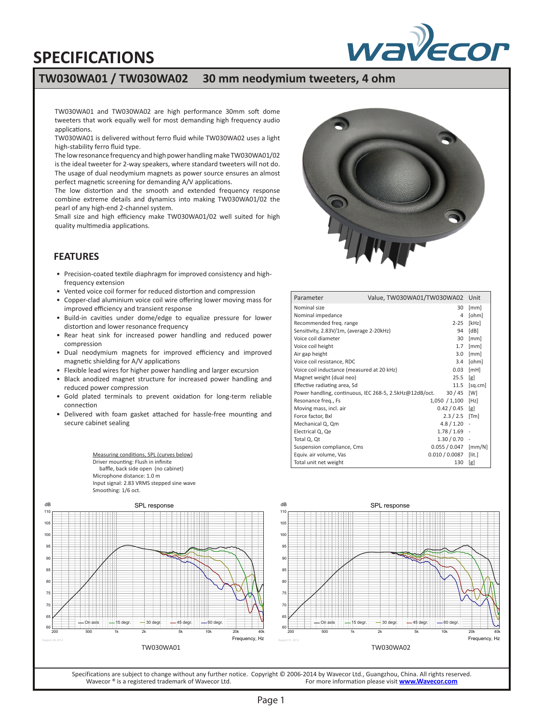# wayecor

# **SPECIFICATIONS**

## **TW030WA01 / TW030WA02 30 mm neodymium tweeters, 4 ohm**

TW030WA01 and TW030WA02 are high performance 30mm soft dome tweeters that work equally well for most demanding high frequency audio applications.

TW030WA01 is delivered without ferro fluid while TW030WA02 uses a light high-stability ferro fluid type.

The low resonance frequency and high power handling make TW030WA01/02 is the ideal tweeter for 2-way speakers, where standard tweeters will not do. The usage of dual neodymium magnets as power source ensures an almost perfect magnetic screening for demanding A/V applications.

The low distortion and the smooth and extended frequency response combine extreme details and dynamics into making TW030WA01/02 the pearl of any high-end 2-channel system.

Small size and high efficiency make TW030WA01/02 well suited for high quality multimedia applications.

#### **FEATURES**

- Precision-coated textile diaphragm for improved consistency and highfrequency extension
- Vented voice coil former for reduced distortion and compression
- Copper-clad aluminium voice coil wire offering lower moving mass for improved efficiency and transient response
- Build-in cavities under dome/edge to equalize pressure for lower distortion and lower resonance frequency
- Rear heat sink for increased power handling and reduced power compression
- Dual neodymium magnets for improved efficiency and improved magnetic shielding for A/V applications
- Flexible lead wires for higher power handling and larger excursion
- Black anodized magnet structure for increased power handling and reduced power compression
- Gold plated terminals to prevent oxidation for long-term reliable connection
- Delivered with foam gasket attached for hassle-free mounting and secure cabinet sealing

Measuring conditions, SPL (curves below) Driver mounting: Flush in infinite baffle, back side open (no cabinet) Microphone distance: 1.0 m Input signal: 2.83 VRMS stepped sine wave Smoothing: 1/6 oct.



| Parameter                                                        | Value, TW030WA01/TW030WA02 | Unit                        |
|------------------------------------------------------------------|----------------------------|-----------------------------|
| Nominal size                                                     | 30                         | [mm]                        |
| Nominal impedance                                                | 4                          | [ohm]                       |
| Recommended freg. range                                          | $2 - 25$                   | [kHz]                       |
| Sensitivity, 2.83V/1m, (average 2-20kHz)<br>94                   |                            | [dB]                        |
| Voice coil diameter                                              | 30                         | [mm]                        |
| Voice coil height                                                | 1.7                        | [mm]                        |
| Air gap height                                                   | 3.0                        | [mm]                        |
| Voice coil resistance, RDC                                       | 3.4                        | [ohm]                       |
| Voice coil inductance (measured at 20 kHz)<br>0.03               |                            | [MH]                        |
| 25.5<br>Magnet weight (dual neo)                                 |                            | [g]                         |
| Effective radiating area, Sd<br>11.5                             |                            | [sq.cm]                     |
| 30/45<br>Power handling, continuous, IEC 268-5, 2.5kHz@12dB/oct. |                            | [W]                         |
| Resonance freq., Fs                                              | 1,050 / 1,100 [Hz]         |                             |
| Moving mass, incl. air                                           | $0.42 / 0.45$ [g]          |                             |
| Force factor, Bxl                                                | $2.3 / 2.5$ [Tm]           |                             |
| Mechanical Q, Qm                                                 | $4.8 / 1.20 -$             |                             |
| Electrical Q, Qe                                                 | $1.78 / 1.69$ -            |                             |
| Total Q, Qt                                                      | $1.30 / 0.70 -$            |                             |
| Suspension compliance, Cms                                       | 0.055/0.047                | $\left[\frac{mm}{N}\right]$ |
| Equiv. air volume, Vas                                           | $0.010 / 0.0087$ [lit.]    |                             |
| Total unit net weight                                            | 130                        | [g]                         |





Specifications are subject to change without any further notice. Copyright © 2006-2014 by Wavecor Ltd., Guangzhou, China. All rights reserved.<br>For more information please visit www.Wavecor.com For more information please visit **[www.Wavecor.com](http://www.wavecor.com)**